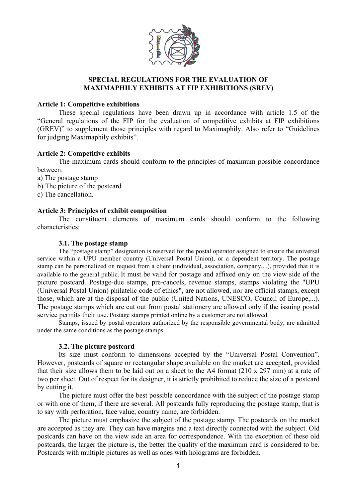

# **SPECIAL REGULATIONS FOR THE EVALUATION OF MAXIMAPHILY EXHIBITS AT FIP EXHIBITIONS (SREV)**

## **Article 1: Competitive exhibitions**

These special regulations have been drawn up in accordance with article 1.5 of the "General regulations of the FIP for the evaluation of competitive exhibits at FIP exhibitions (GREV)" to supplement those principles with regard to Maximaphily. Also refer to "Guidelines for judging Maximaphily exhibits".

# **Article 2: Competitive exhibits**

The maximum cards should conform to the principles of maximum possible concordance between:

a) The postage stamp

- b) The picture of the postcard
- c) The cancellation.

# **Article 3: Principles of exhibit composition**

The constituent elements of maximum cards should conform to the following characteristics:

## **3.1. The postage stamp**

The "postage stamp" designation is reserved for the postal operator assigned to ensure the universal service within a UPU member country (Universal Postal Union), or a dependent territory. The postage stamp can be personalized on request from a client (individual, association, company,...), provided that it is available to the general public. It must be valid for postage and affixed only on the view side of the picture postcard. Postage-due stamps, pre-cancels, revenue stamps, stamps violating the "UPU (Universal Postal Union) philatelic code of ethics", are not allowed, nor are official stamps, except those, which are at the disposal of the public (United Nations, UNESCO, Council of Europe,...). The postage stamps which are cut out from postal stationery are allowed only if the issuing postal service permits their use. Postage stamps printed online by a customer are not allowed.

Stamps, issued by postal operators authorized by the responsible governmental body, are admitted under the same conditions as the postage stamps.

# **3.2. The picture postcard**

Its size must conform to dimensions accepted by the "Universal Postal Convention". However, postcards of square or rectangular shape available on the market are accepted, provided that their size allows them to be laid out on a sheet to the A4 format (210 x 297 mm) at a rate of two per sheet. Out of respect for its designer, it is strictly prohibited to reduce the size of a postcard by cutting it.

The picture must offer the best possible concordance with the subject of the postage stamp or with one of them, if there are several. All postcards fully reproducing the postage stamp, that is to say with perforation, face value, country name, are forbidden.

The picture must emphasize the subject of the postage stamp. The postcards on the market are accepted as they are. They can have margins and a text directly connected with the subject. Old postcards can have on the view side an area for correspondence. With the exception of these old postcards, the larger the picture is, the better the quality of the maximum card is considered to be. Postcards with multiple pictures as well as ones with holograms are forbidden.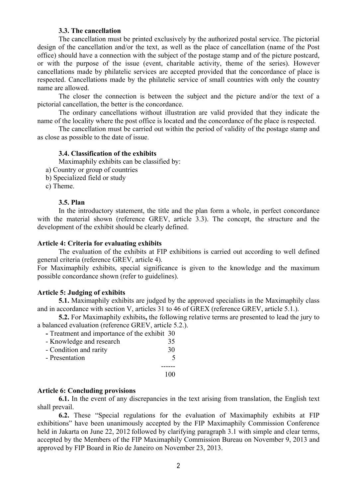## **3.3. The cancellation**

The cancellation must be printed exclusively by the authorized postal service. The pictorial design of the cancellation and/or the text, as well as the place of cancellation (name of the Post office) should have a connection with the subject of the postage stamp and of the picture postcard, or with the purpose of the issue (event, charitable activity, theme of the series). However cancellations made by philatelic services are accepted provided that the concordance of place is respected. Cancellations made by the philatelic service of small countries with only the country name are allowed.

The closer the connection is between the subject and the picture and/or the text of a pictorial cancellation, the better is the concordance.

The ordinary cancellations without illustration are valid provided that they indicate the name of the locality where the post office is located and the concordance of the place is respected.

The cancellation must be carried out within the period of validity of the postage stamp and as close as possible to the date of issue.

## **3.4. Classification of the exhibits**

Maximaphily exhibits can be classified by:

- a) Country or group of countries
- b) Specialized field or study
- c) Theme.

#### **3.5. Plan**

In the introductory statement, the title and the plan form a whole, in perfect concordance with the material shown (reference GREV, article 3.3). The concept, the structure and the development of the exhibit should be clearly defined.

### **Article 4: Criteria for evaluating exhibits**

The evaluation of the exhibits at FIP exhibitions is carried out according to well defined general criteria (reference GREV, article 4).

For Maximaphily exhibits, special significance is given to the knowledge and the maximum possible concordance shown (refer to guidelines).

#### **Article 5: Judging of exhibits**

**5.1.** Maximaphily exhibits are judged by the approved specialists in the Maximaphily class and in accordance with section V, articles 31 to 46 of GREX (reference GREV, article 5.1.).

**5.2.** For Maximaphily exhibits**,** the following relative terms are presented to lead the jury to a balanced evaluation (reference GREV, article 5.2.).

| - Treatment and importance of the exhibit 30 |    |
|----------------------------------------------|----|
| - Knowledge and research                     | 35 |
| - Condition and rarity                       | 30 |
| - Presentation                               |    |
|                                              |    |
|                                              |    |

#### **Article 6: Concluding provisions**

**6.1.** In the event of any discrepancies in the text arising from translation, the English text shall prevail.

**6.2.** These "Special regulations for the evaluation of Maximaphily exhibits at FIP exhibitions" have been unanimously accepted by the FIP Maximaphily Commission Conference held in Jakarta on June 22, 2012 followed by clarifying paragraph 3.1 with simple and clear terms, accepted by the Members of the FIP Maximaphily Commission Bureau on November 9, 2013 and approved by FIP Board in Rio de Janeiro on November 23, 2013.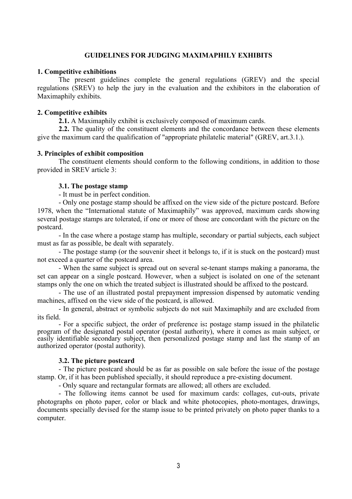# **GUIDELINES FOR JUDGING MAXIMAPHILY EXHIBITS**

## **1. Competitive exhibitions**

The present guidelines complete the general regulations (GREV) and the special regulations (SREV) to help the jury in the evaluation and the exhibitors in the elaboration of Maximaphily exhibits.

## **2. Competitive exhibits**

**2.1.** A Maximaphily exhibit is exclusively composed of maximum cards.

**2.2.** The quality of the constituent elements and the concordance between these elements give the maximum card the qualification of "appropriate philatelic material" (GREV, art.3.1.).

## **3. Principles of exhibit composition**

The constituent elements should conform to the following conditions, in addition to those provided in SREV article 3:

### **3.1. The postage stamp**

- It must be in perfect condition.

- Only one postage stamp should be affixed on the view side of the picture postcard. Before 1978, when the "International statute of Maximaphily" was approved, maximum cards showing several postage stamps are tolerated, if one or more of those are concordant with the picture on the postcard.

- In the case where a postage stamp has multiple, secondary or partial subjects, each subject must as far as possible, be dealt with separately.

- The postage stamp (or the souvenir sheet it belongs to, if it is stuck on the postcard) must not exceed a quarter of the postcard area.

- When the same subject is spread out on several se-tenant stamps making a panorama, the set can appear on a single postcard. However, when a subject is isolated on one of the setenant stamps only the one on which the treated subject is illustrated should be affixed to the postcard.

- The use of an illustrated postal prepayment impression dispensed by automatic vending machines, affixed on the view side of the postcard, is allowed.

- In general, abstract or symbolic subjects do not suit Maximaphily and are excluded from its field.

- For a specific subject, the order of preference is**:** postage stamp issued in the philatelic program of the designated postal operator (postal authority), where it comes as main subject, or easily identifiable secondary subject, then personalized postage stamp and last the stamp of an authorized operator (postal authority).

#### **3.2. The picture postcard**

- The picture postcard should be as far as possible on sale before the issue of the postage stamp. Or, if it has been published specially, it should reproduce a pre-existing document.

- Only square and rectangular formats are allowed; all others are excluded.

- The following items cannot be used for maximum cards: collages, cut-outs, private photographs on photo paper, color or black and white photocopies, photo-montages, drawings, documents specially devised for the stamp issue to be printed privately on photo paper thanks to a computer.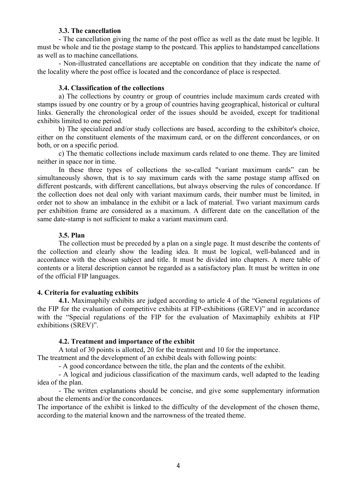## **3.3. The cancellation**

- The cancellation giving the name of the post office as well as the date must be legible. It must be whole and tie the postage stamp to the postcard. This applies to handstamped cancellations as well as to machine cancellations.

- Non-illustrated cancellations are acceptable on condition that they indicate the name of the locality where the post office is located and the concordance of place is respected.

#### **3.4. Classification of the collections**

a) The collections by country or group of countries include maximum cards created with stamps issued by one country or by a group of countries having geographical, historical or cultural links. Generally the chronological order of the issues should be avoided, except for traditional exhibits limited to one period.

b) The specialized and/or study collections are based, according to the exhibitor's choice, either on the constituent elements of the maximum card, or on the different concordances, or on both, or on a specific period.

c) The thematic collections include maximum cards related to one theme. They are limited neither in space nor in time.

In these three types of collections the so-called "variant maximum cards" can be simultaneously shown, that is to say maximum cards with the same postage stamp affixed on different postcards, with different cancellations, but always observing the rules of concordance. If the collection does not deal only with variant maximum cards, their number must be limited, in order not to show an imbalance in the exhibit or a lack of material. Two variant maximum cards per exhibition frame are considered as a maximum. A different date on the cancellation of the same date-stamp is not sufficient to make a variant maximum card.

### **3.5. Plan**

The collection must be preceded by a plan on a single page. It must describe the contents of the collection and clearly show the leading idea. It must be logical, well-balanced and in accordance with the chosen subject and title. It must be divided into chapters. A mere table of contents or a literal description cannot be regarded as a satisfactory plan. It must be written in one of the official FIP languages.

#### **4. Criteria for evaluating exhibits**

**4.1.** Maximaphily exhibits are judged according to article 4 of the "General regulations of the FIP for the evaluation of competitive exhibits at FIP-exhibitions (GREV)" and in accordance with the "Special regulations of the FIP for the evaluation of Maximaphily exhibits at FIP exhibitions (SREV)".

### **4.2. Treatment and importance of the exhibit**

A total of 30 points is allotted, 20 for the treatment and 10 for the importance.

The treatment and the development of an exhibit deals with following points:

- A good concordance between the title, the plan and the contents of the exhibit.

- A logical and judicious classification of the maximum cards, well adapted to the leading idea of the plan.

- The written explanations should be concise, and give some supplementary information about the elements and/or the concordances.

The importance of the exhibit is linked to the difficulty of the development of the chosen theme, according to the material known and the narrowness of the treated theme.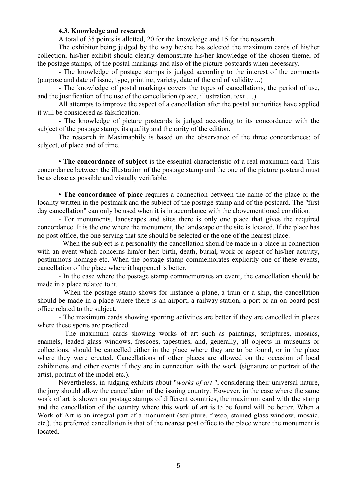# **4.3. Knowledge and research**

A total of 35 points is allotted, 20 for the knowledge and 15 for the research.

The exhibitor being judged by the way he/she has selected the maximum cards of his/her collection, his/her exhibit should clearly demonstrate his/her knowledge of the chosen theme, of the postage stamps, of the postal markings and also of the picture postcards when necessary.

- The knowledge of postage stamps is judged according to the interest of the comments (purpose and date of issue, type, printing, variety, date of the end of validity ...)

- The knowledge of postal markings covers the types of cancellations, the period of use, and the justification of the use of the cancellation (place, illustration, text …).

All attempts to improve the aspect of a cancellation after the postal authorities have applied it will be considered as falsification.

- The knowledge of picture postcards is judged according to its concordance with the subject of the postage stamp, its quality and the rarity of the edition.

The research in Maximaphily is based on the observance of the three concordances: of subject, of place and of time.

**• The concordance of subject** is the essential characteristic of a real maximum card. This concordance between the illustration of the postage stamp and the one of the picture postcard must be as close as possible and visually verifiable.

**• The concordance of place** requires a connection between the name of the place or the locality written in the postmark and the subject of the postage stamp and of the postcard. The "first day cancellation" can only be used when it is in accordance with the abovementioned condition.

- For monuments, landscapes and sites there is only one place that gives the required concordance. It is the one where the monument, the landscape or the site is located. If the place has no post office, the one serving that site should be selected or the one of the nearest place.

- When the subject is a personality the cancellation should be made in a place in connection with an event which concerns him/or her: birth, death, burial*,* work or aspect of his/her activity, posthumous homage etc. When the postage stamp commemorates explicitly one of these events, cancellation of the place where it happened is better.

- In the case where the postage stamp commemorates an event, the cancellation should be made in a place related to it.

- When the postage stamp shows for instance a plane, a train or a ship, the cancellation should be made in a place where there is an airport, a railway station, a port or an on-board post office related to the subject.

- The maximum cards showing sporting activities are better if they are cancelled in places where these sports are practiced.

- The maximum cards showing works of art such as paintings, sculptures, mosaics, enamels, leaded glass windows, frescoes, tapestries, and, generally, all objects in museums or collections, should be cancelled either in the place where they are to be found, or in the place where they were created. Cancellations of other places are allowed on the occasion of local exhibitions and other events if they are in connection with the work (signature or portrait of the artist, portrait of the model etc.).

Nevertheless, in judging exhibits about "*works of art* ", considering their universal nature, the jury should allow the cancellation of the issuing country. However, in the case where the same work of art is shown on postage stamps of different countries, the maximum card with the stamp and the cancellation of the country where this work of art is to be found will be better. When a Work of Art is an integral part of a monument (sculpture, fresco, stained glass window, mosaic, etc.), the preferred cancellation is that of the nearest post office to the place where the monument is located.